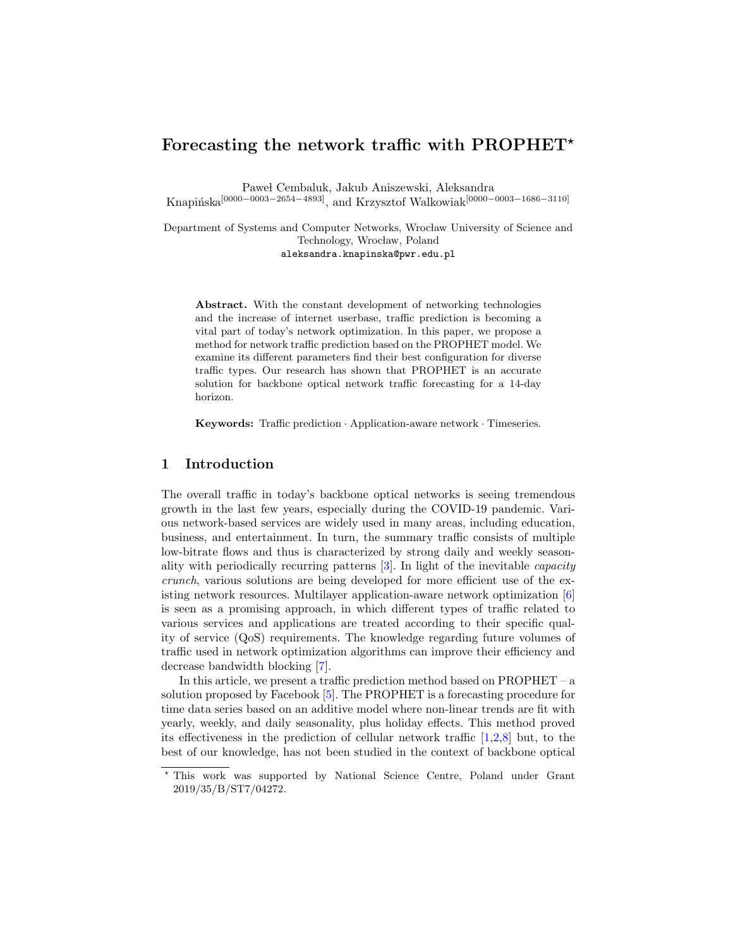# Forecasting the network traffic with PROPHET<sup>\*</sup>

Paweł Cembaluk, Jakub Aniszewski, Aleksandra Knapińska<sup>[0000–0003–2654–4893]</sup>, and Krzysztof Walkowiak<sup>[0000–0003–1686–3110]</sup>

Department of Systems and Computer Networks, Wrocław University of Science and Technology, Wrocław, Poland aleksandra.knapinska@pwr.edu.pl

Abstract. With the constant development of networking technologies and the increase of internet userbase, traffic prediction is becoming a vital part of today's network optimization. In this paper, we propose a method for network traffic prediction based on the PROPHET model. We examine its different parameters find their best configuration for diverse traffic types. Our research has shown that PROPHET is an accurate solution for backbone optical network traffic forecasting for a 14-day horizon.

Keywords: Traffic prediction · Application-aware network · Timeseries.

# 1 Introduction

The overall traffic in today's backbone optical networks is seeing tremendous growth in the last few years, especially during the COVID-19 pandemic. Various network-based services are widely used in many areas, including education, business, and entertainment. In turn, the summary traffic consists of multiple low-bitrate flows and thus is characterized by strong daily and weekly seasonality with periodically recurring patterns [\[3\]](#page-3-0). In light of the inevitable capacity crunch, various solutions are being developed for more efficient use of the existing network resources. Multilayer application-aware network optimization [\[6\]](#page-3-1) is seen as a promising approach, in which different types of traffic related to various services and applications are treated according to their specific quality of service (QoS) requirements. The knowledge regarding future volumes of traffic used in network optimization algorithms can improve their efficiency and decrease bandwidth blocking [\[7\]](#page-3-2).

In this article, we present a traffic prediction method based on PROPHET – a solution proposed by Facebook [\[5\]](#page-3-3). The PROPHET is a forecasting procedure for time data series based on an additive model where non-linear trends are fit with yearly, weekly, and daily seasonality, plus holiday effects. This method proved its effectiveness in the prediction of cellular network traffic [\[1,](#page-3-4)[2,](#page-3-5)[8\]](#page-3-6) but, to the best of our knowledge, has not been studied in the context of backbone optical

<sup>⋆</sup> This work was supported by National Science Centre, Poland under Grant 2019/35/B/ST7/04272.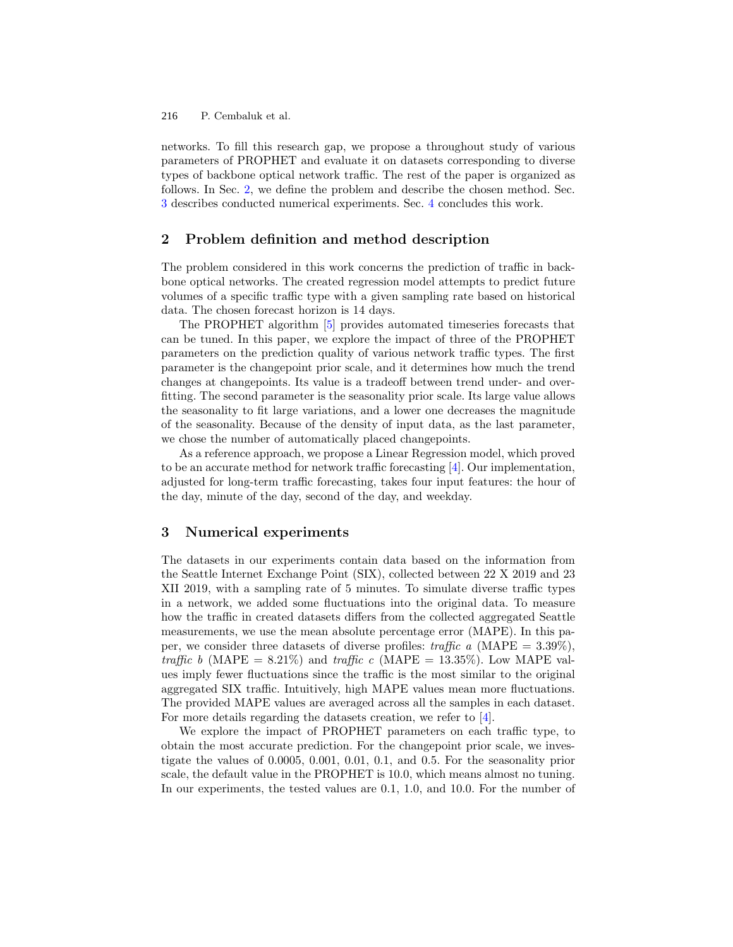P. Cembaluk et al. 216

networks. To fill this research gap, we propose a throughout study of various parameters of PROPHET and evaluate it on datasets corresponding to diverse types of backbone optical network traffic. The rest of the paper is organized as follows. In Sec. [2,](#page-1-0) we define the problem and describe the chosen method. Sec. [3](#page-1-1) describes conducted numerical experiments. Sec. [4](#page-3-7) concludes this work.

# <span id="page-1-0"></span>2 Problem definition and method description

The problem considered in this work concerns the prediction of traffic in backbone optical networks. The created regression model attempts to predict future volumes of a specific traffic type with a given sampling rate based on historical data. The chosen forecast horizon is 14 days.

The PROPHET algorithm [\[5\]](#page-3-3) provides automated timeseries forecasts that can be tuned. In this paper, we explore the impact of three of the PROPHET parameters on the prediction quality of various network traffic types. The first parameter is the changepoint prior scale, and it determines how much the trend changes at changepoints. Its value is a tradeoff between trend under- and overfitting. The second parameter is the seasonality prior scale. Its large value allows the seasonality to fit large variations, and a lower one decreases the magnitude of the seasonality. Because of the density of input data, as the last parameter, we chose the number of automatically placed changepoints.

As a reference approach, we propose a Linear Regression model, which proved to be an accurate method for network traffic forecasting [\[4\]](#page-3-8). Our implementation, adjusted for long-term traffic forecasting, takes four input features: the hour of the day, minute of the day, second of the day, and weekday.

## <span id="page-1-1"></span>3 Numerical experiments

The datasets in our experiments contain data based on the information from the Seattle Internet Exchange Point (SIX), collected between 22 X 2019 and 23 XII 2019, with a sampling rate of 5 minutes. To simulate diverse traffic types in a network, we added some fluctuations into the original data. To measure how the traffic in created datasets differs from the collected aggregated Seattle measurements, we use the mean absolute percentage error (MAPE). In this paper, we consider three datasets of diverse profiles: traffic a (MAPE =  $3.39\%$ ), traffic b (MAPE = 8.21%) and traffic c (MAPE = 13.35%). Low MAPE values imply fewer fluctuations since the traffic is the most similar to the original aggregated SIX traffic. Intuitively, high MAPE values mean more fluctuations. The provided MAPE values are averaged across all the samples in each dataset. For more details regarding the datasets creation, we refer to [\[4\]](#page-3-8).

We explore the impact of PROPHET parameters on each traffic type, to obtain the most accurate prediction. For the changepoint prior scale, we investigate the values of 0.0005, 0.001, 0.01, 0.1, and 0.5. For the seasonality prior scale, the default value in the PROPHET is 10.0, which means almost no tuning. In our experiments, the tested values are 0.1, 1.0, and 10.0. For the number of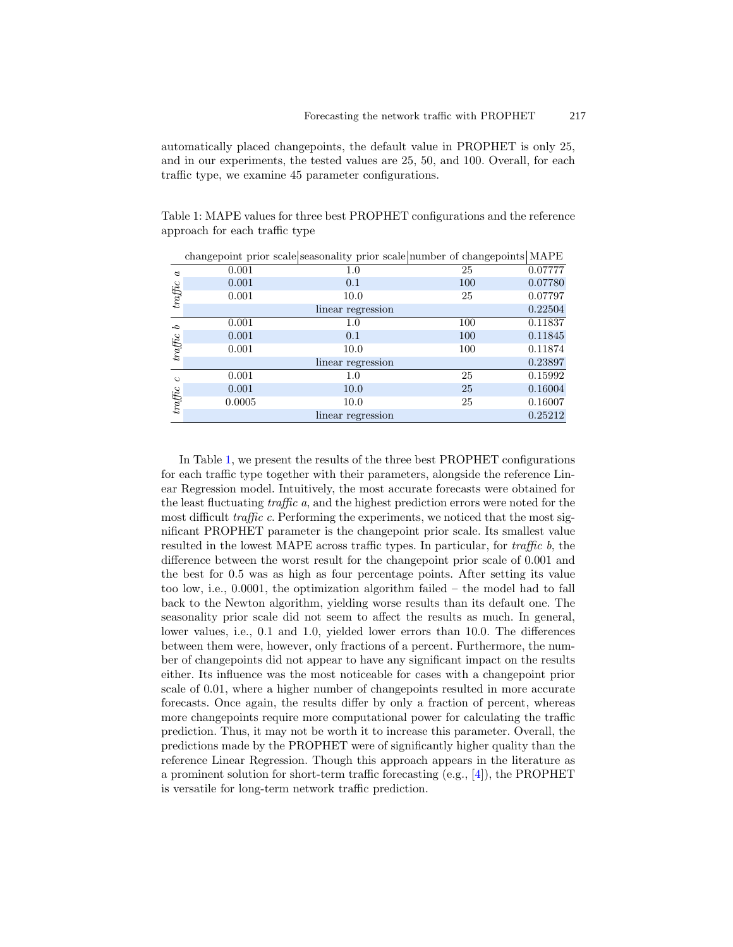automatically placed changepoints, the default value in PROPHET is only 25, and in our experiments, the tested values are 25, 50, and 100. Overall, for each traffic type, we examine 45 parameter configurations.

<span id="page-2-0"></span>Table 1: MAPE values for three best PROPHET configurations and the reference approach for each traffic type

|                                 |        | changepoint prior scale seasonality prior scale number of changepoints MAPE |     |         |
|---------------------------------|--------|-----------------------------------------------------------------------------|-----|---------|
| $\alpha$<br>$tra\mathcal{F}$ ic | 0.001  | 1.0                                                                         | 25  | 0.07777 |
|                                 | 0.001  | 0.1                                                                         | 100 | 0.07780 |
|                                 | 0.001  | 10.0                                                                        | 25  | 0.07797 |
|                                 |        | linear regression                                                           |     | 0.22504 |
| P<br>$\it traffic$              | 0.001  | 1.0                                                                         | 100 | 0.11837 |
|                                 | 0.001  | 0.1                                                                         | 100 | 0.11845 |
|                                 | 0.001  | 10.0                                                                        | 100 | 0.11874 |
|                                 |        | linear regression                                                           |     | 0.23897 |
| $\circ$<br>$tra\mathcal{F}$ ic  | 0.001  | 1.0                                                                         | 25  | 0.15992 |
|                                 | 0.001  | 10.0                                                                        | 25  | 0.16004 |
|                                 | 0.0005 | 10.0                                                                        | 25  | 0.16007 |
|                                 |        | linear regression                                                           |     | 0.25212 |

In Table [1,](#page-2-0) we present the results of the three best PROPHET configurations for each traffic type together with their parameters, alongside the reference Linear Regression model. Intuitively, the most accurate forecasts were obtained for the least fluctuating traffic a, and the highest prediction errors were noted for the most difficult *traffic c*. Performing the experiments, we noticed that the most significant PROPHET parameter is the changepoint prior scale. Its smallest value resulted in the lowest MAPE across traffic types. In particular, for traffic b, the difference between the worst result for the changepoint prior scale of 0.001 and the best for 0.5 was as high as four percentage points. After setting its value too low, i.e., 0.0001, the optimization algorithm failed – the model had to fall back to the Newton algorithm, yielding worse results than its default one. The seasonality prior scale did not seem to affect the results as much. In general, lower values, i.e., 0.1 and 1.0, yielded lower errors than 10.0. The differences between them were, however, only fractions of a percent. Furthermore, the number of changepoints did not appear to have any significant impact on the results either. Its influence was the most noticeable for cases with a changepoint prior scale of 0.01, where a higher number of changepoints resulted in more accurate forecasts. Once again, the results differ by only a fraction of percent, whereas more changepoints require more computational power for calculating the traffic prediction. Thus, it may not be worth it to increase this parameter. Overall, the predictions made by the PROPHET were of significantly higher quality than the reference Linear Regression. Though this approach appears in the literature as a prominent solution for short-term traffic forecasting (e.g., [\[4\]](#page-3-8)), the PROPHET is versatile for long-term network traffic prediction.

217